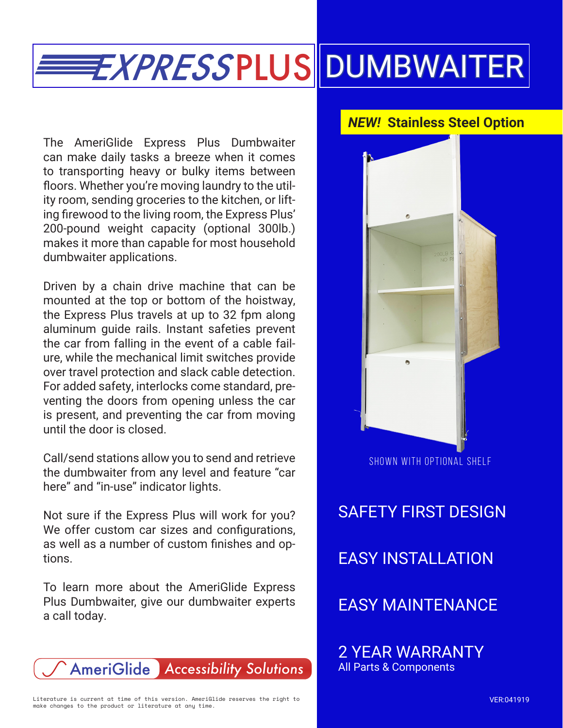## EXPRESSPLUS DUMBWAITER

The AmeriGlide Express Plus Dumbwaiter can make daily tasks a breeze when it comes to transporting heavy or bulky items between floors. Whether you're moving laundry to the utility room, sending groceries to the kitchen, or lifting firewood to the living room, the Express Plus' 200-pound weight capacity (optional 300lb.) makes it more than capable for most household dumbwaiter applications.

Driven by a chain drive machine that can be mounted at the top or bottom of the hoistway, the Express Plus travels at up to 32 fpm along aluminum guide rails. Instant safeties prevent the car from falling in the event of a cable failure, while the mechanical limit switches provide over travel protection and slack cable detection. For added safety, interlocks come standard, preventing the doors from opening unless the car is present, and preventing the car from moving until the door is closed.

Call/send stations allow you to send and retrieve the dumbwaiter from any level and feature "car here" and "in-use" indicator lights.

Not sure if the Express Plus will work for you? We offer custom car sizes and configurations, as well as a number of custom finishes and options.

To learn more about the AmeriGlide Express Plus Dumbwaiter, give our dumbwaiter experts a call today.

AmeriGlide *Accessibility Solutions*

## *NEW!* **Stainless Steel Option**



SHOWN WITH OPTIONAL SHELF

SAFETY FIRST DESIGN

EASY INSTALLATION

EASY MAINTENANCE

2 YEAR WARRANTY All Parts & Components